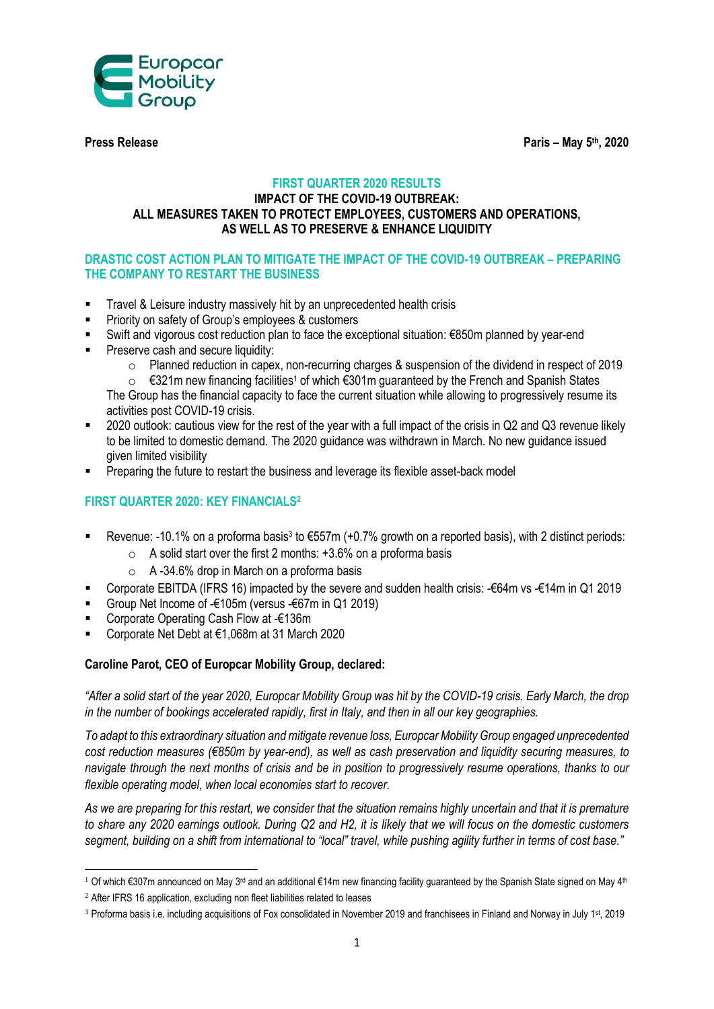

**Press Release Paris – May 5th, 2020**

### **FIRST QUARTER 2020 RESULTS**

#### **IMPACT OF THE COVID-19 OUTBREAK: ALL MEASURES TAKEN TO PROTECT EMPLOYEES, CUSTOMERS AND OPERATIONS, AS WELL AS TO PRESERVE & ENHANCE LIQUIDITY**

# **DRASTIC COST ACTION PLAN TO MITIGATE THE IMPACT OF THE COVID-19 OUTBREAK – PREPARING THE COMPANY TO RESTART THE BUSINESS**

- Travel & Leisure industry massively hit by an unprecedented health crisis
- Priority on safety of Group's employees & customers
- Swift and vigorous cost reduction plan to face the exceptional situation: €850m planned by year-end
- **Preserve cash and secure liquidity:** 
	- o Planned reduction in capex, non-recurring charges & suspension of the dividend in respect of 2019
	- $\circ$  €321m new financing facilities<sup>1</sup> of which €301m guaranteed by the French and Spanish States The Group has the financial capacity to face the current situation while allowing to progressively resume its
	- activities post COVID-19 crisis.
- 2020 outlook: cautious view for the rest of the year with a full impact of the crisis in Q2 and Q3 revenue likely to be limited to domestic demand. The 2020 guidance was withdrawn in March. No new guidance issued given limited visibility
- Preparing the future to restart the business and leverage its flexible asset-back model

# **FIRST QUARTER 2020: KEY FINANCIALS<sup>2</sup>**

- Revenue: -10.1% on a proforma basis<sup>3</sup> to €557m (+0.7% growth on a reported basis), with 2 distinct periods:
	- $\circ$  A solid start over the first 2 months: +3.6% on a proforma basis
	- $\circ$  A -34.6% drop in March on a proforma basis
- Corporate EBITDA (IFRS 16) impacted by the severe and sudden health crisis: -€64m vs -€14m in Q1 2019
- Group Net Income of -€105m (versus -€67m in Q1 2019)
- Corporate Operating Cash Flow at -€136m
- Corporate Net Debt at €1,068m at 31 March 2020

# **Caroline Parot, CEO of Europcar Mobility Group, declared:**

*"After a solid start of the year 2020, Europcar Mobility Group was hit by the COVID-19 crisis. Early March, the drop in the number of bookings accelerated rapidly, first in Italy, and then in all our key geographies.*

*To adapt to this extraordinary situation and mitigate revenue loss, Europcar Mobility Group engaged unprecedented cost reduction measures (€850m by year-end), as well as cash preservation and liquidity securing measures, to navigate through the next months of crisis and be in position to progressively resume operations, thanks to our flexible operating model, when local economies start to recover.*

*As we are preparing for this restart, we consider that the situation remains highly uncertain and that it is premature to share any 2020 earnings outlook. During Q2 and H2, it is likely that we will focus on the domestic customers segment, building on a shift from international to "local" travel, while pushing agility further in terms of cost base."*

**<sup>.</sup>** <sup>1</sup> Of which €307m announced on May 3<sup>rd</sup> and an additional €14m new financing facility guaranteed by the Spanish State signed on May 4<sup>th</sup>

<sup>&</sup>lt;sup>2</sup> After IFRS 16 application, excluding non fleet liabilities related to leases

<sup>&</sup>lt;sup>3</sup> Proforma basis i.e. including acquisitions of Fox consolidated in November 2019 and franchisees in Finland and Norway in July 1st, 2019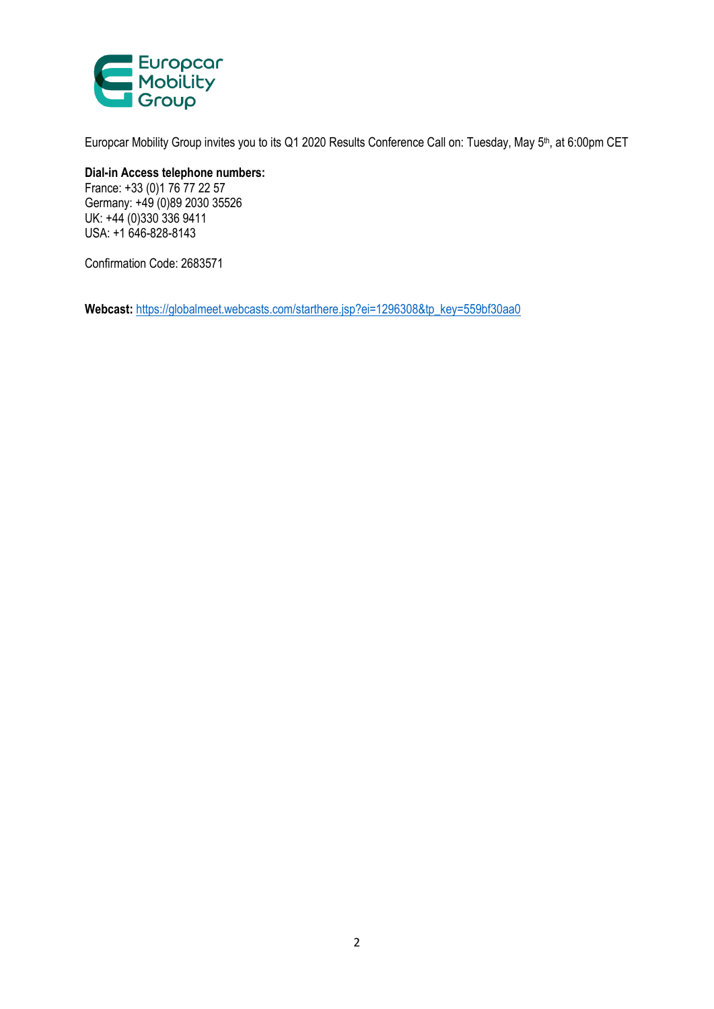

Europcar Mobility Group invites you to its Q1 2020 Results Conference Call on: Tuesday, May 5<sup>th</sup>, at 6:00pm CET

**Dial-in Access telephone numbers:**  France: +33 (0)1 76 77 22 57 Germany: +49 (0)89 2030 35526 UK: +44 (0)330 336 9411

USA: +1 646-828-8143

Confirmation Code: 2683571

**Webcast:** [https://globalmeet.webcasts.com/starthere.jsp?ei=1296308&tp\\_key=559bf30aa0](https://globalmeet.webcasts.com/starthere.jsp?ei=1296308&tp_key=559bf30aa0)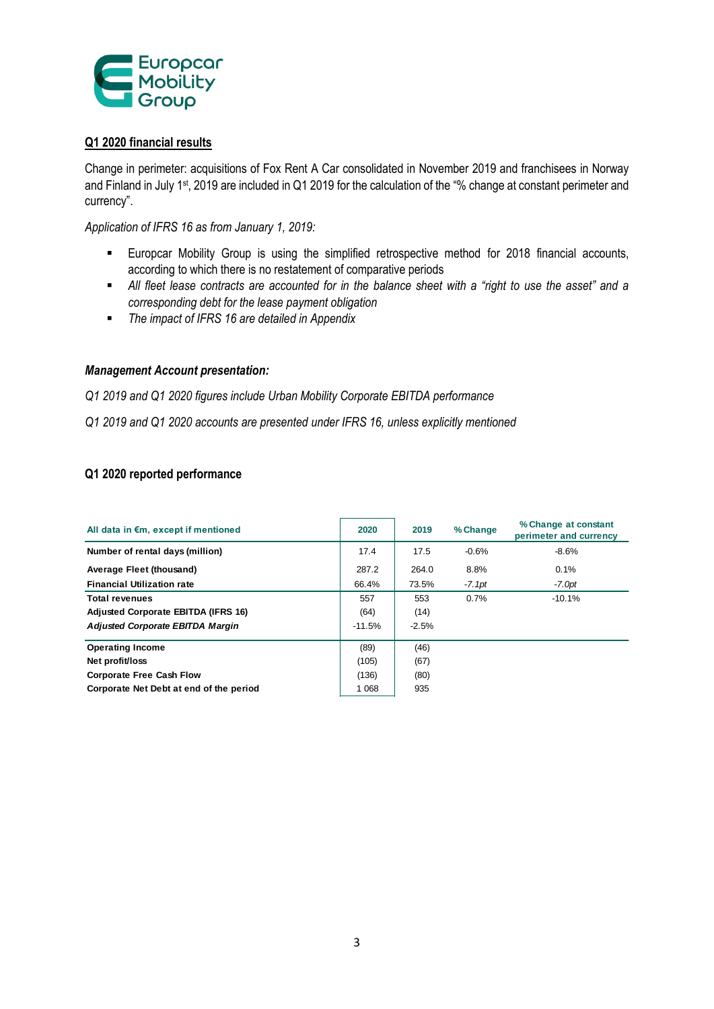

#### **Q1 2020 financial results**

Change in perimeter: acquisitions of Fox Rent A Car consolidated in November 2019 and franchisees in Norway and Finland in July 1<sup>st</sup>, 2019 are included in Q1 2019 for the calculation of the "% change at constant perimeter and currency".

*Application of IFRS 16 as from January 1, 2019:*

- Europcar Mobility Group is using the simplified retrospective method for 2018 financial accounts, according to which there is no restatement of comparative periods
- *All fleet lease contracts are accounted for in the balance sheet with a "right to use the asset" and a corresponding debt for the lease payment obligation*
- *The impact of IFRS 16 are detailed in Appendix*

#### *Management Account presentation:*

*Q1 2019 and Q1 2020 figures include Urban Mobility Corporate EBITDA performance*

*Q1 2019 and Q1 2020 accounts are presented under IFRS 16, unless explicitly mentioned*

#### **Q1 2020 reported performance**

| All data in €m, except if mentioned        | 2020     | 2019    | % Change | % Change at constant<br>perimeter and currency |
|--------------------------------------------|----------|---------|----------|------------------------------------------------|
| Number of rental days (million)            | 17.4     | 17.5    | $-0.6%$  | $-8.6%$                                        |
| Average Fleet (thousand)                   | 287.2    | 264.0   | 8.8%     | 0.1%                                           |
| <b>Financial Utilization rate</b>          | 66.4%    | 73.5%   | $-7.1pt$ | $-7.0pt$                                       |
| <b>Total revenues</b>                      | 557      | 553     | 0.7%     | $-10.1%$                                       |
| <b>Adjusted Corporate EBITDA (IFRS 16)</b> | (64)     | (14)    |          |                                                |
| <b>Adjusted Corporate EBITDA Margin</b>    | $-11.5%$ | $-2.5%$ |          |                                                |
| <b>Operating Income</b>                    | (89)     | (46)    |          |                                                |
| Net profit/loss                            | (105)    | (67)    |          |                                                |
| <b>Corporate Free Cash Flow</b>            | (136)    | (80)    |          |                                                |
| Corporate Net Debt at end of the period    | 1 0 6 8  | 935     |          |                                                |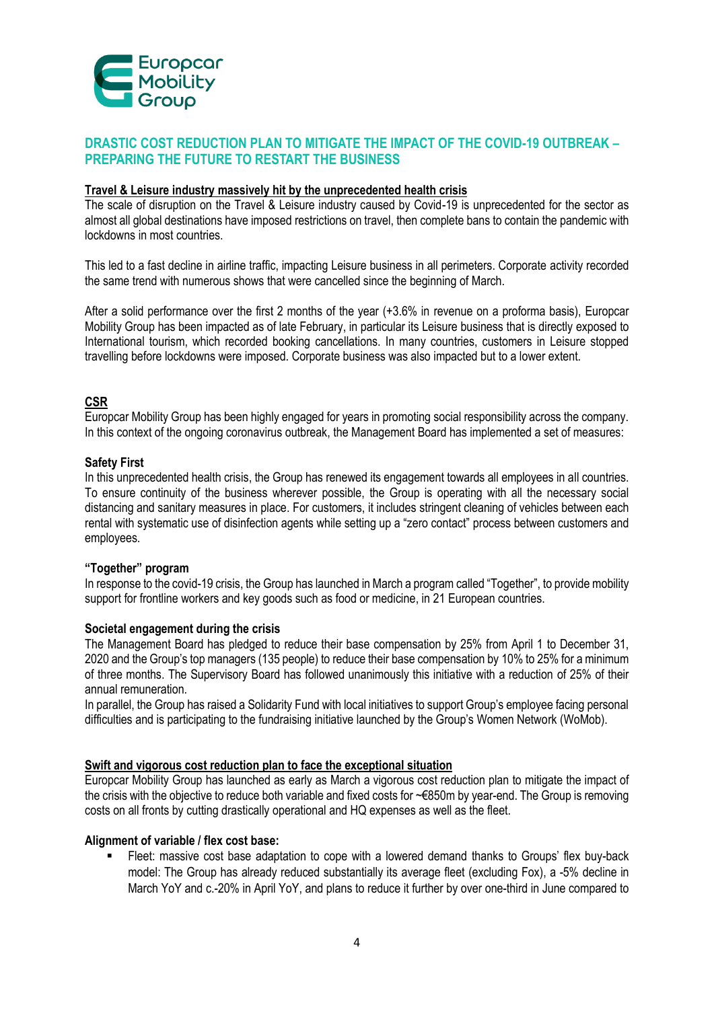

# **DRASTIC COST REDUCTION PLAN TO MITIGATE THE IMPACT OF THE COVID-19 OUTBREAK – PREPARING THE FUTURE TO RESTART THE BUSINESS**

#### **Travel & Leisure industry massively hit by the unprecedented health crisis**

The scale of disruption on the Travel & Leisure industry caused by Covid-19 is unprecedented for the sector as almost all global destinations have imposed restrictions on travel, then complete bans to contain the pandemic with lockdowns in most countries.

This led to a fast decline in airline traffic, impacting Leisure business in all perimeters. Corporate activity recorded the same trend with numerous shows that were cancelled since the beginning of March.

After a solid performance over the first 2 months of the year (+3.6% in revenue on a proforma basis), Europcar Mobility Group has been impacted as of late February, in particular its Leisure business that is directly exposed to International tourism, which recorded booking cancellations. In many countries, customers in Leisure stopped travelling before lockdowns were imposed. Corporate business was also impacted but to a lower extent.

# **CSR**

Europcar Mobility Group has been highly engaged for years in promoting social responsibility across the company. In this context of the ongoing coronavirus outbreak, the Management Board has implemented a set of measures:

#### **Safety First**

In this unprecedented health crisis, the Group has renewed its engagement towards all employees in all countries. To ensure continuity of the business wherever possible, the Group is operating with all the necessary social distancing and sanitary measures in place. For customers, it includes stringent cleaning of vehicles between each rental with systematic use of disinfection agents while setting up a "zero contact" process between customers and employees.

#### **"Together" program**

In response to the covid-19 crisis, the Group has launched in March a program called "Together", to provide mobility support for frontline workers and key goods such as food or medicine, in 21 European countries.

#### **Societal engagement during the crisis**

The Management Board has pledged to reduce their base compensation by 25% from April 1 to December 31, 2020 and the Group's top managers (135 people) to reduce their base compensation by 10% to 25% for a minimum of three months. The Supervisory Board has followed unanimously this initiative with a reduction of 25% of their annual remuneration.

In parallel, the Group has raised a Solidarity Fund with local initiatives to support Group's employee facing personal difficulties and is participating to the fundraising initiative launched by the Group's Women Network (WoMob).

#### **Swift and vigorous cost reduction plan to face the exceptional situation**

Europcar Mobility Group has launched as early as March a vigorous cost reduction plan to mitigate the impact of the crisis with the objective to reduce both variable and fixed costs for ~€850m by year-end. The Group is removing costs on all fronts by cutting drastically operational and HQ expenses as well as the fleet.

#### **Alignment of variable / flex cost base:**

 Fleet: massive cost base adaptation to cope with a lowered demand thanks to Groups' flex buy-back model: The Group has already reduced substantially its average fleet (excluding Fox), a -5% decline in March YoY and c.-20% in April YoY, and plans to reduce it further by over one-third in June compared to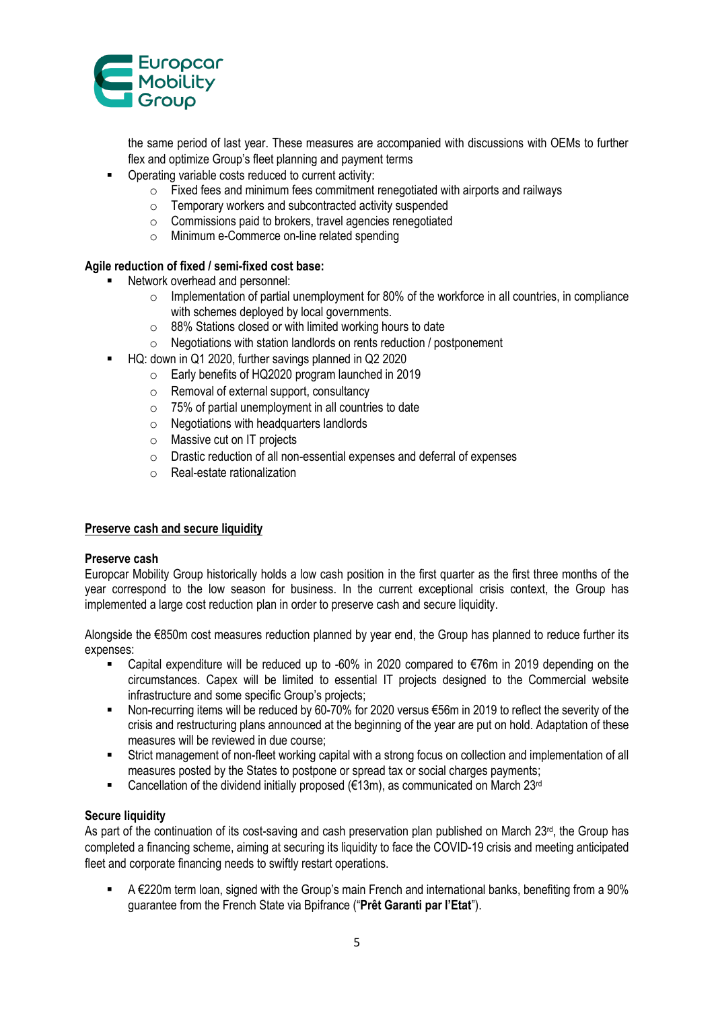

the same period of last year. These measures are accompanied with discussions with OEMs to further flex and optimize Group's fleet planning and payment terms

- Operating variable costs reduced to current activity:
	- $\circ$  Fixed fees and minimum fees commitment renegotiated with airports and railways
	- o Temporary workers and subcontracted activity suspended
	- o Commissions paid to brokers, travel agencies renegotiated
	- o Minimum e-Commerce on-line related spending

#### **Agile reduction of fixed / semi-fixed cost base:**

- Network overhead and personnel:
	- o Implementation of partial unemployment for 80% of the workforce in all countries, in compliance with schemes deployed by local governments.
	- o 88% Stations closed or with limited working hours to date
	- o Negotiations with station landlords on rents reduction / postponement
- HQ: down in Q1 2020, further savings planned in Q2 2020
	- o Early benefits of HQ2020 program launched in 2019
	- o Removal of external support, consultancy
	- $\circ$  75% of partial unemployment in all countries to date
	- o Negotiations with headquarters landlords
	- o Massive cut on IT projects
	- o Drastic reduction of all non-essential expenses and deferral of expenses
	- o Real-estate rationalization

#### **Preserve cash and secure liquidity**

#### **Preserve cash**

Europcar Mobility Group historically holds a low cash position in the first quarter as the first three months of the year correspond to the low season for business. In the current exceptional crisis context, the Group has implemented a large cost reduction plan in order to preserve cash and secure liquidity.

Alongside the €850m cost measures reduction planned by year end, the Group has planned to reduce further its expenses:

- Capital expenditure will be reduced up to -60% in 2020 compared to €76m in 2019 depending on the circumstances. Capex will be limited to essential IT projects designed to the Commercial website infrastructure and some specific Group's projects;
- Non-recurring items will be reduced by 60-70% for 2020 versus €56m in 2019 to reflect the severity of the crisis and restructuring plans announced at the beginning of the year are put on hold. Adaptation of these measures will be reviewed in due course;
- Strict management of non-fleet working capital with a strong focus on collection and implementation of all measures posted by the States to postpone or spread tax or social charges payments;
- Cancellation of the dividend initially proposed ( $€13m$ ), as communicated on March 23<sup>rd</sup>

#### **Secure liquidity**

As part of the continuation of its cost-saving and cash preservation plan published on March 23rd, the Group has completed a financing scheme, aiming at securing its liquidity to face the COVID-19 crisis and meeting anticipated fleet and corporate financing needs to swiftly restart operations.

 $\blacksquare$  A  $\epsilon$ 220m term loan, signed with the Group's main French and international banks, benefiting from a 90% guarantee from the French State via Bpifrance ("**Prêt Garanti par l'Etat**").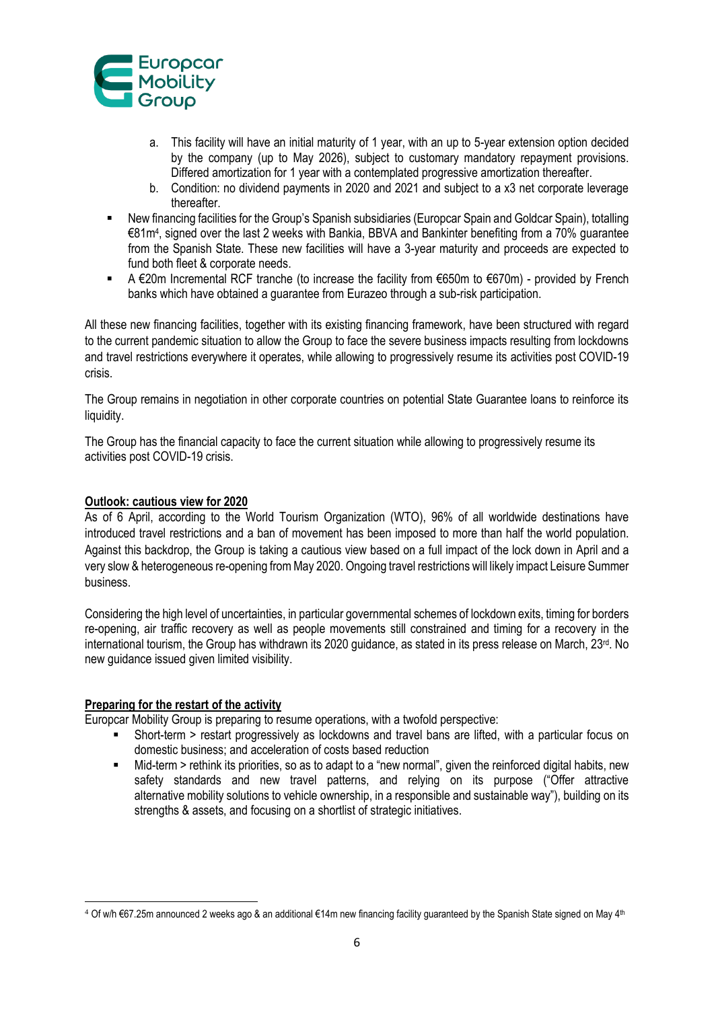

- a. This facility will have an initial maturity of 1 year, with an up to 5-year extension option decided by the company (up to May 2026), subject to customary mandatory repayment provisions. Differed amortization for 1 year with a contemplated progressive amortization thereafter.
- b. Condition: no dividend payments in 2020 and 2021 and subject to a x3 net corporate leverage thereafter.
- New financing facilities for the Group's Spanish subsidiaries (Europcar Spain and Goldcar Spain), totalling €81m<sup>4</sup> , signed over the last 2 weeks with Bankia, BBVA and Bankinter benefiting from a 70% guarantee from the Spanish State. These new facilities will have a 3-year maturity and proceeds are expected to fund both fleet & corporate needs.
- A €20m Incremental RCF tranche (to increase the facility from €650m to €670m) provided by French banks which have obtained a guarantee from Eurazeo through a sub-risk participation.

All these new financing facilities, together with its existing financing framework, have been structured with regard to the current pandemic situation to allow the Group to face the severe business impacts resulting from lockdowns and travel restrictions everywhere it operates, while allowing to progressively resume its activities post COVID-19 crisis.

The Group remains in negotiation in other corporate countries on potential State Guarantee loans to reinforce its liquidity.

The Group has the financial capacity to face the current situation while allowing to progressively resume its activities post COVID-19 crisis.

#### **Outlook: cautious view for 2020**

As of 6 April, according to the World Tourism Organization (WTO), 96% of all worldwide destinations have introduced travel restrictions and a ban of movement has been imposed to more than half the world population. Against this backdrop, the Group is taking a cautious view based on a full impact of the lock down in April and a very slow & heterogeneous re-opening from May 2020. Ongoing travel restrictions will likely impact Leisure Summer business.

Considering the high level of uncertainties, in particular governmental schemes of lockdown exits, timing for borders re-opening, air traffic recovery as well as people movements still constrained and timing for a recovery in the international tourism, the Group has withdrawn its 2020 quidance, as stated in its press release on March,  $23^{rd}$ . No new guidance issued given limited visibility.

#### **Preparing for the restart of the activity**

**.** 

Europcar Mobility Group is preparing to resume operations, with a twofold perspective:

- Short-term > restart progressively as lockdowns and travel bans are lifted, with a particular focus on domestic business; and acceleration of costs based reduction
- Mid-term > rethink its priorities, so as to adapt to a "new normal", given the reinforced digital habits, new safety standards and new travel patterns, and relying on its purpose ("Offer attractive alternative mobility solutions to vehicle ownership, in a responsible and sustainable way"), building on its strengths & assets, and focusing on a shortlist of strategic initiatives.

<sup>4</sup> Of w/h €67.25m announced 2 weeks ago & an additional €14m new financing facility guaranteed by the Spanish State signed on May 4th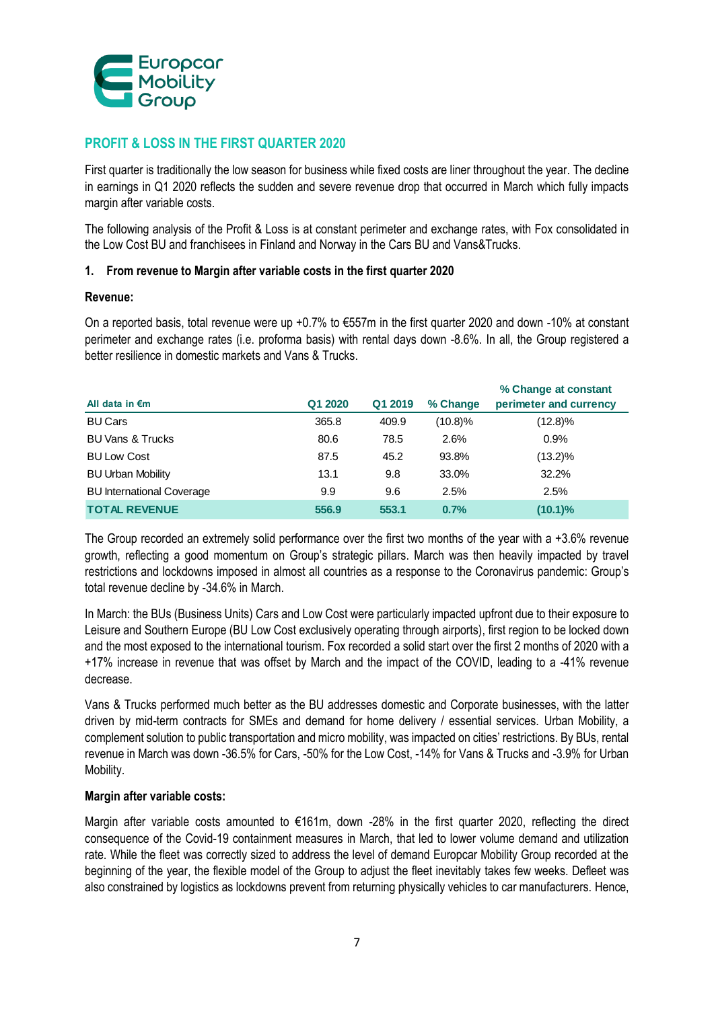

# **PROFIT & LOSS IN THE FIRST QUARTER 2020**

First quarter is traditionally the low season for business while fixed costs are liner throughout the year. The decline in earnings in Q1 2020 reflects the sudden and severe revenue drop that occurred in March which fully impacts margin after variable costs.

The following analysis of the Profit & Loss is at constant perimeter and exchange rates, with Fox consolidated in the Low Cost BU and franchisees in Finland and Norway in the Cars BU and Vans&Trucks.

# **1. From revenue to Margin after variable costs in the first quarter 2020**

#### **Revenue:**

On a reported basis, total revenue were up +0.7% to €557m in the first quarter 2020 and down -10% at constant perimeter and exchange rates (i.e. proforma basis) with rental days down -8.6%. In all, the Group registered a better resilience in domestic markets and Vans & Trucks.

| All data in $\epsilon$ m         | Q1 2020 | Q1 2019 | % Change   | % Change at constant<br>perimeter and currency |
|----------------------------------|---------|---------|------------|------------------------------------------------|
| <b>BU Cars</b>                   | 365.8   | 409.9   | $(10.8)\%$ | $(12.8)\%$                                     |
| <b>BU Vans &amp; Trucks</b>      | 80.6    | 78.5    | 2.6%       | 0.9%                                           |
| <b>BU Low Cost</b>               | 87.5    | 45.2    | 93.8%      | $(13.2)\%$                                     |
| <b>BU Urban Mobility</b>         | 13.1    | 9.8     | 33.0%      | 32.2%                                          |
| <b>BU International Coverage</b> | 9.9     | 9.6     | 2.5%       | 2.5%                                           |
| <b>TOTAL REVENUE</b>             | 556.9   | 553.1   | 0.7%       | $(10.1)\%$                                     |

The Group recorded an extremely solid performance over the first two months of the year with a +3.6% revenue growth, reflecting a good momentum on Group's strategic pillars. March was then heavily impacted by travel restrictions and lockdowns imposed in almost all countries as a response to the Coronavirus pandemic: Group's total revenue decline by -34.6% in March.

In March: the BUs (Business Units) Cars and Low Cost were particularly impacted upfront due to their exposure to Leisure and Southern Europe (BU Low Cost exclusively operating through airports), first region to be locked down and the most exposed to the international tourism. Fox recorded a solid start over the first 2 months of 2020 with a +17% increase in revenue that was offset by March and the impact of the COVID, leading to a -41% revenue decrease.

Vans & Trucks performed much better as the BU addresses domestic and Corporate businesses, with the latter driven by mid-term contracts for SMEs and demand for home delivery / essential services. Urban Mobility, a complement solution to public transportation and micro mobility, was impacted on cities' restrictions. By BUs, rental revenue in March was down -36.5% for Cars, -50% for the Low Cost, -14% for Vans & Trucks and -3.9% for Urban Mobility.

#### **Margin after variable costs:**

Margin after variable costs amounted to €161m, down -28% in the first quarter 2020, reflecting the direct consequence of the Covid-19 containment measures in March, that led to lower volume demand and utilization rate. While the fleet was correctly sized to address the level of demand Europcar Mobility Group recorded at the beginning of the year, the flexible model of the Group to adjust the fleet inevitably takes few weeks. Defleet was also constrained by logistics as lockdowns prevent from returning physically vehicles to car manufacturers. Hence,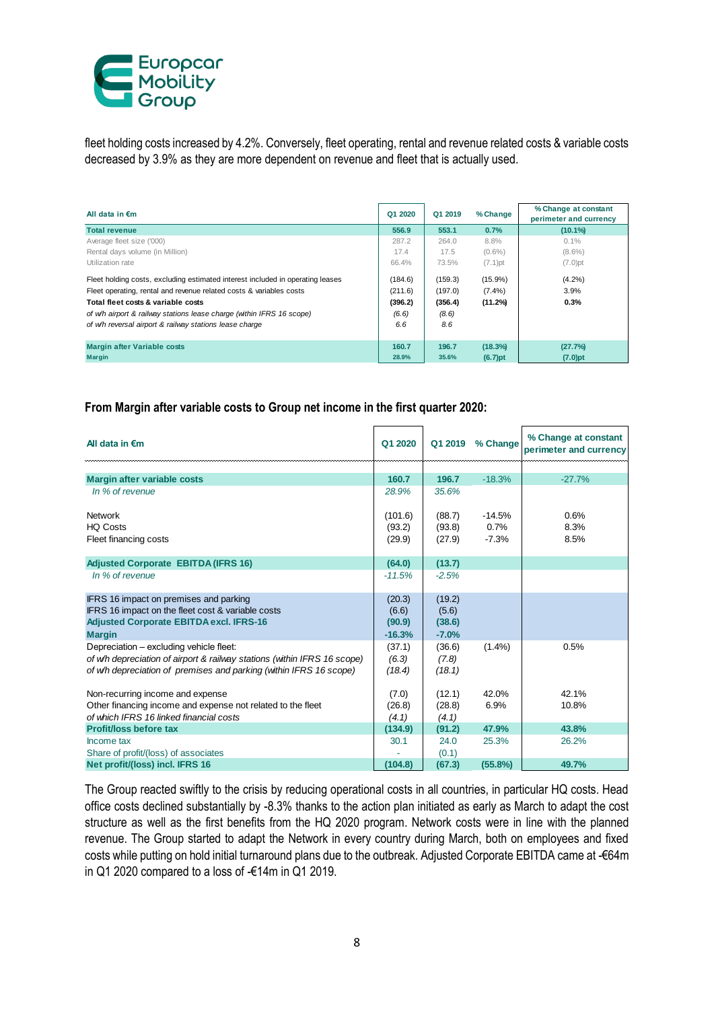

fleet holding costs increased by 4.2%. Conversely, fleet operating, rental and revenue related costs & variable costs decreased by 3.9% as they are more dependent on revenue and fleet that is actually used.

| All data in $\epsilon$ m                                                       | Q1 2020 | Q1 2019 | % Change   | % Change at constant<br>perimeter and currency |
|--------------------------------------------------------------------------------|---------|---------|------------|------------------------------------------------|
| <b>Total revenue</b>                                                           | 556.9   | 553.1   | 0.7%       | $(10.1\%)$                                     |
| Average fleet size ('000)                                                      | 287.2   | 264.0   | 8.8%       | 0.1%                                           |
| Rental days volume (in Million)                                                | 17.4    | 17.5    | $(0.6\%)$  | $(8.6\%)$                                      |
| Utilization rate                                                               | 66.4%   | 73.5%   | $(7.1)$ pt | $(7.0)$ pt                                     |
| Fleet holding costs, excluding estimated interest included in operating leases | (184.6) | (159.3) | $(15.9\%)$ | $(4.2\%)$                                      |
| Fleet operating, rental and revenue related costs & variables costs            | (211.6) | (197.0) | $(7.4\%)$  | 3.9%                                           |
| Total fleet costs & variable costs                                             | (396.2) | (356.4) | (11.2%)    | 0.3%                                           |
| of w/h airport & railway stations lease charge (within IFRS 16 scope)          | (6.6)   | (8.6)   |            |                                                |
| of w/h reversal airport & railway stations lease charge                        | 6.6     | 8.6     |            |                                                |
|                                                                                |         |         |            |                                                |
| <b>Margin after Variable costs</b>                                             | 160.7   | 196.7   | (18.3%)    | (27.7%)                                        |
| <b>Margin</b>                                                                  | 28.9%   | 35.6%   | $(6.7)$ pt | $(7.0)$ pt                                     |

#### **From Margin after variable costs to Group net income in the first quarter 2020:**

| All data in $\epsilon$ m                                                                            | Q1 2020         | Q1 2019           | % Change   | % Change at constant<br>perimeter and currency |
|-----------------------------------------------------------------------------------------------------|-----------------|-------------------|------------|------------------------------------------------|
|                                                                                                     |                 |                   |            |                                                |
| Margin after variable costs                                                                         | 160.7           | 196.7             | $-18.3%$   | $-27.7%$                                       |
| In % of revenue                                                                                     | 28.9%           | 35.6%             |            |                                                |
| <b>Network</b>                                                                                      | (101.6)         | (88.7)            | $-14.5%$   | 0.6%                                           |
| <b>HQ Costs</b>                                                                                     | (93.2)          | (93.8)            | 0.7%       | 8.3%                                           |
| Fleet financing costs                                                                               | (29.9)          | (27.9)            | $-7.3%$    | 8.5%                                           |
|                                                                                                     |                 |                   |            |                                                |
| <b>Adjusted Corporate EBITDA (IFRS 16)</b>                                                          | (64.0)          | (13.7)            |            |                                                |
| In % of revenue                                                                                     | $-11.5%$        | $-2.5%$           |            |                                                |
|                                                                                                     |                 |                   |            |                                                |
| IFRS 16 impact on premises and parking                                                              | (20.3)          | (19.2)            |            |                                                |
| IFRS 16 impact on the fleet cost & variable costs<br><b>Adjusted Corporate EBITDA excl. IFRS-16</b> | (6.6)<br>(90.9) | (5.6)             |            |                                                |
|                                                                                                     | $-16.3%$        | (38.6)<br>$-7.0%$ |            |                                                |
| <b>Margin</b><br>Depreciation - excluding vehicle fleet:                                            |                 | (36.6)            | $(1.4\%)$  | 0.5%                                           |
| of w/h depreciation of airport & railway stations (within IFRS 16 scope)                            | (37.1)<br>(6.3) | (7.8)             |            |                                                |
| of w/h depreciation of premises and parking (within IFRS 16 scope)                                  | (18.4)          | (18.1)            |            |                                                |
|                                                                                                     |                 |                   |            |                                                |
| Non-recurring income and expense                                                                    | (7.0)           | (12.1)            | 42.0%      | 42.1%                                          |
| Other financing income and expense not related to the fleet                                         | (26.8)          | (28.8)            | 6.9%       | 10.8%                                          |
| of which IFRS 16 linked financial costs                                                             | (4.1)           | (4.1)             |            |                                                |
| <b>Profit/loss before tax</b>                                                                       | (134.9)         | (91.2)            | 47.9%      | 43.8%                                          |
| Income tax                                                                                          | 30.1            | 24.0              | 25.3%      | 26.2%                                          |
| Share of profit/(loss) of associates                                                                |                 | (0.1)             |            |                                                |
| Net profit/(loss) incl. IFRS 16                                                                     | (104.8)         | (67.3)            | $(55.8\%)$ | 49.7%                                          |

The Group reacted swiftly to the crisis by reducing operational costs in all countries, in particular HQ costs. Head office costs declined substantially by -8.3% thanks to the action plan initiated as early as March to adapt the cost structure as well as the first benefits from the HQ 2020 program. Network costs were in line with the planned revenue. The Group started to adapt the Network in every country during March, both on employees and fixed costs while putting on hold initial turnaround plans due to the outbreak. Adjusted Corporate EBITDA came at -€64m in Q1 2020 compared to a loss of -€14m in Q1 2019.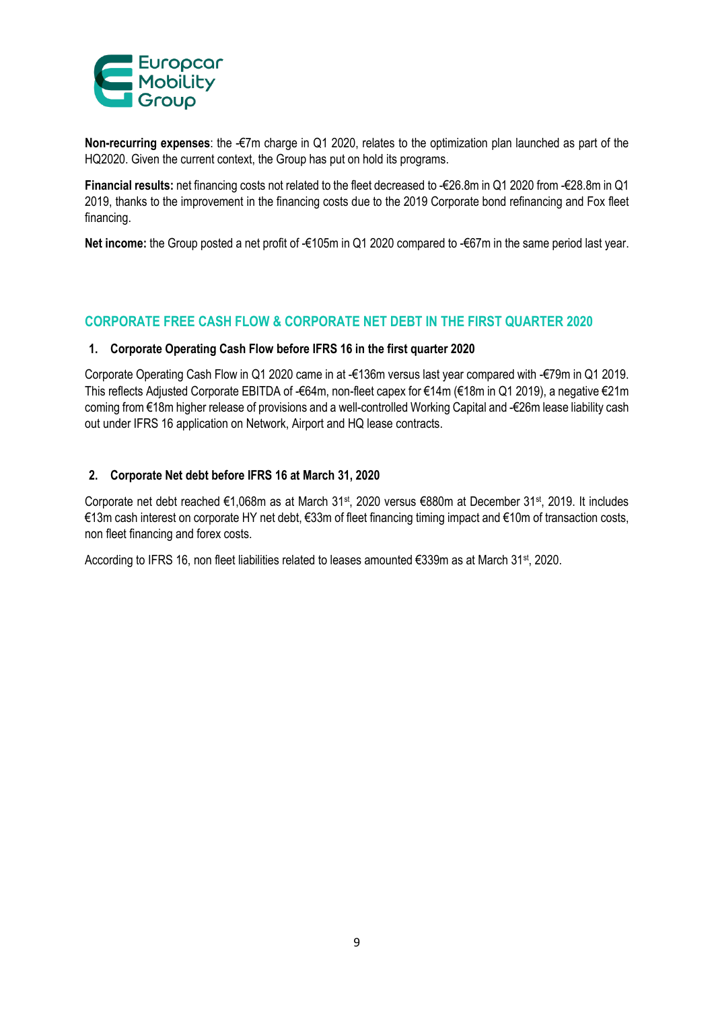

**Non-recurring expenses**: the -€7m charge in Q1 2020, relates to the optimization plan launched as part of the HQ2020. Given the current context, the Group has put on hold its programs.

**Financial results:** net financing costs not related to the fleet decreased to -€26.8m in Q1 2020 from -€28.8m in Q1 2019, thanks to the improvement in the financing costs due to the 2019 Corporate bond refinancing and Fox fleet financing.

**Net income:** the Group posted a net profit of -€105m in Q1 2020 compared to -€67m in the same period last year.

# **CORPORATE FREE CASH FLOW & CORPORATE NET DEBT IN THE FIRST QUARTER 2020**

#### **1. Corporate Operating Cash Flow before IFRS 16 in the first quarter 2020**

Corporate Operating Cash Flow in Q1 2020 came in at -€136m versus last year compared with -€79m in Q1 2019. This reflects Adjusted Corporate EBITDA of -€64m, non-fleet capex for €14m (€18m in Q1 2019), a negative €21m coming from €18m higher release of provisions and a well-controlled Working Capital and -€26m lease liability cash out under IFRS 16 application on Network, Airport and HQ lease contracts.

#### **2. Corporate Net debt before IFRS 16 at March 31, 2020**

Corporate net debt reached €1,068m as at March 31<sup>st</sup>, 2020 versus €880m at December 31<sup>st</sup>, 2019. It includes €13m cash interest on corporate HY net debt, €33m of fleet financing timing impact and €10m of transaction costs, non fleet financing and forex costs.

According to IFRS 16, non fleet liabilities related to leases amounted €339m as at March 31st, 2020.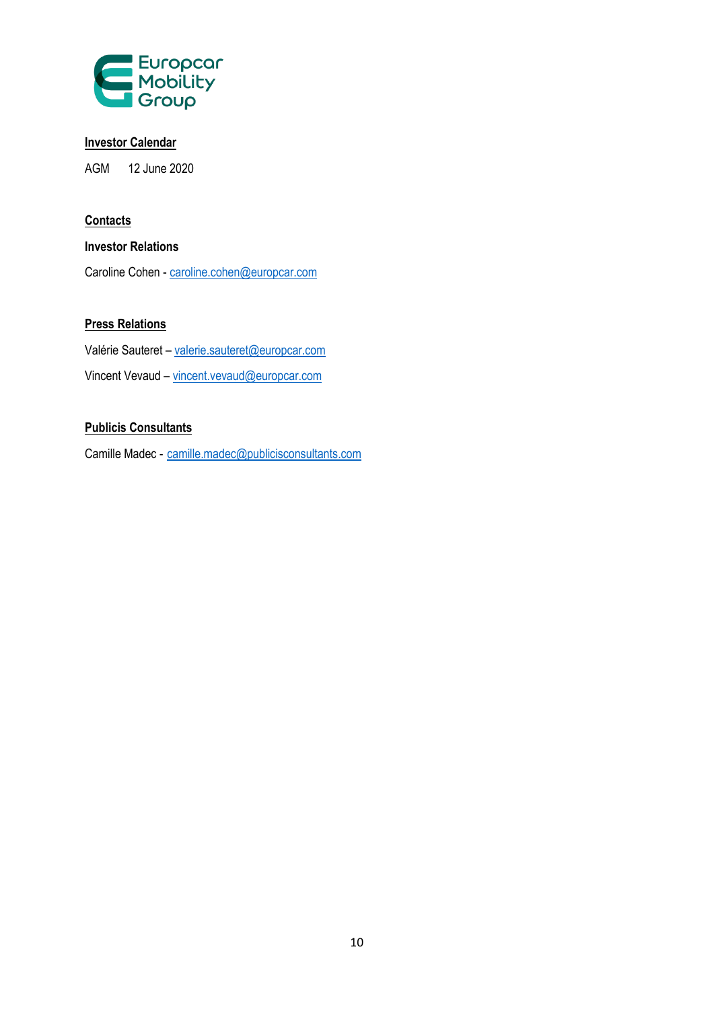

# **Investor Calendar**

AGM 12 June 2020

# **Contacts**

# **Investor Relations**

Caroline Cohen - [caroline.cohen@europcar.com](mailto:caroline.cohen@europcar.com)

# **Press Relations**

Valérie Sauteret – valerie.sauteret@europcar.com Vincent Vevaud – [vincent.vevaud@europcar.com](mailto:vincent.vevaud@europcar.com)

# **Publicis Consultants**

Camille Madec - [camille.madec@publicisconsultants.com](mailto:camille.madec@publicisconsultants.com)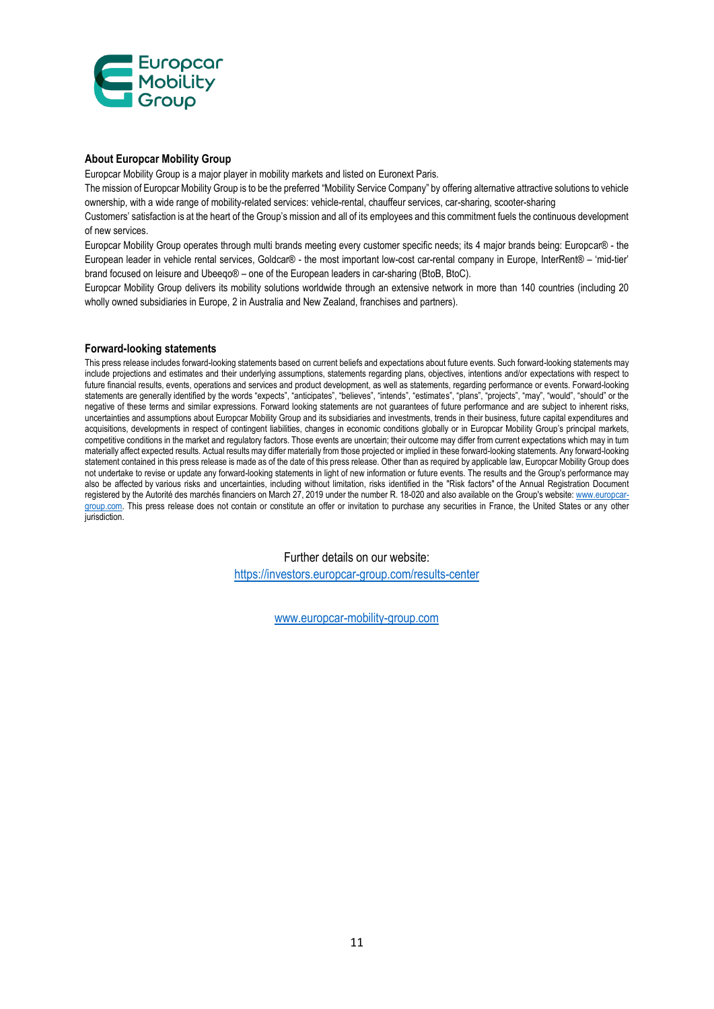

#### **About Europcar Mobility Group**

Europcar Mobility Group is a major player in mobility markets and listed on Euronext Paris.

The mission of Europcar Mobility Group is to be the preferred "Mobility Service Company" by offering alternative attractive solutions to vehicle ownership, with a wide range of mobility-related services: vehicle-rental, chauffeur services, car-sharing, scooter-sharing

Customers' satisfaction is at the heart of the Group's mission and all of its employees and this commitment fuels the continuous development of new services.

Europcar Mobility Group operates through multi brands meeting every customer specific needs; its 4 major brands being: Europcar® - the European leader in vehicle rental services, Goldcar® - the most important low-cost car-rental company in Europe, InterRent® – 'mid-tier' brand focused on leisure and Ubeeqo® – one of the European leaders in car-sharing (BtoB, BtoC).

Europcar Mobility Group delivers its mobility solutions worldwide through an extensive network in more than 140 countries (including 20 wholly owned subsidiaries in Europe, 2 in Australia and New Zealand, franchises and partners).

#### **Forward-looking statements**

This press release includes forward-looking statements based on current beliefs and expectations about future events. Such forward-looking statements may include projections and estimates and their underlying assumptions, statements regarding plans, objectives, intentions and/or expectations with respect to future financial results, events, operations and services and product development, as well as statements, regarding performance or events. Forward-looking statements are generally identified by the words "expects", "anticipates", "believes", "intends", "estimates", "plans", "projects", "may", "would", "should" or the negative of these terms and similar expressions. Forward looking statements are not guarantees of future performance and are subject to inherent risks, uncertainties and assumptions about Europcar Mobility Group and its subsidiaries and investments, trends in their business, future capital expenditures and acquisitions, developments in respect of contingent liabilities, changes in economic conditions globally or in Europcar Mobility Group's principal markets, competitive conditions in the market and regulatory factors. Those events are uncertain; their outcome may differ from current expectations which may in turn materially affect expected results. Actual results may differ materially from those projected or implied in these forward-looking statements. Any forward-looking statement contained in this press release is made as of the date of this press release. Other than as required by applicable law, Europcar Mobility Group does not undertake to revise or update any forward-looking statements in light of new information or future events. The results and the Group's performance may also be affected by various risks and uncertainties, including without limitation, risks identified in the "Risk factors" of the Annual Registration Document registered by the Autorité des marchés financiers on March 27, 2019 under the number R. 18-020 and also available on the Group's website: [www.europcar](http://www.europcar-group.com/)[group.com.](http://www.europcar-group.com/) This press release does not contain or constitute an offer or invitation to purchase any securities in France, the United States or any other jurisdiction.

Further details on our website:

<https://investors.europcar-group.com/results-center>

[www.europcar-mobility-group.com](http://www.europcar-mobility-group.com/)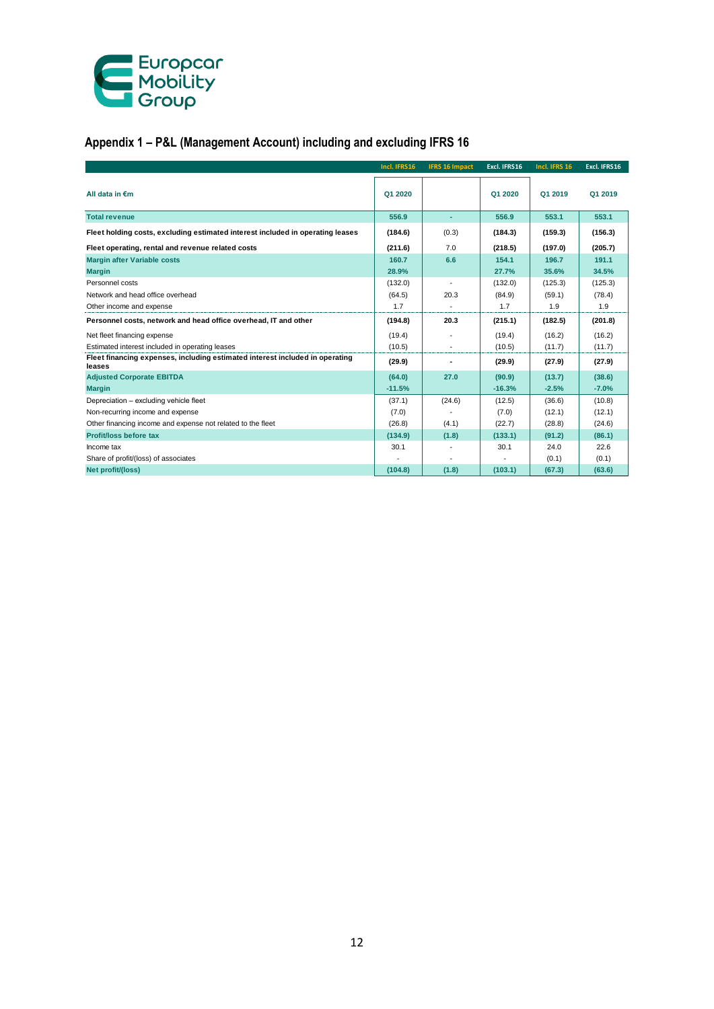

# **Appendix 1 – P&L (Management Account) including and excluding IFRS 16**

|                                                                                        | Incl. IFRS16 | <b>IFRS 16 Impact</b> | Excl. IFRS16 | Incl. IFRS 16 | Excl. IFRS16 |
|----------------------------------------------------------------------------------------|--------------|-----------------------|--------------|---------------|--------------|
| All data in €m                                                                         | Q1 2020      |                       | Q1 2020      | Q1 2019       | Q1 2019      |
| <b>Total revenue</b>                                                                   | 556.9        | ٠                     | 556.9        | 553.1         | 553.1        |
| Fleet holding costs, excluding estimated interest included in operating leases         | (184.6)      | (0.3)                 | (184.3)      | (159.3)       | (156.3)      |
| Fleet operating, rental and revenue related costs                                      | (211.6)      | 7.0                   | (218.5)      | (197.0)       | (205.7)      |
| <b>Margin after Variable costs</b>                                                     | 160.7        | 6.6                   | 154.1        | 196.7         | 191.1        |
| <b>Margin</b>                                                                          | 28.9%        |                       | 27.7%        | 35.6%         | 34.5%        |
| Personnel costs                                                                        | (132.0)      | $\blacksquare$        | (132.0)      | (125.3)       | (125.3)      |
| Network and head office overhead                                                       | (64.5)       | 20.3                  | (84.9)       | (59.1)        | (78.4)       |
| Other income and expense                                                               | 1.7          | $\blacksquare$        | 1.7          | 1.9           | 1.9          |
| Personnel costs, network and head office overhead, IT and other                        | (194.8)      | 20.3                  | (215.1)      | (182.5)       | (201.8)      |
| Net fleet financing expense                                                            | (19.4)       |                       | (19.4)       | (16.2)        | (16.2)       |
| Estimated interest included in operating leases                                        | (10.5)       | $\blacksquare$        | (10.5)       | (11.7)        | (11.7)       |
| Fleet financing expenses, including estimated interest included in operating<br>leases | (29.9)       | ٠                     | (29.9)       | (27.9)        | (27.9)       |
| <b>Adjusted Corporate EBITDA</b>                                                       | (64.0)       | 27.0                  | (90.9)       | (13.7)        | (38.6)       |
| <b>Margin</b>                                                                          | $-11.5%$     |                       | $-16.3%$     | $-2.5%$       | $-7.0%$      |
| Depreciation - excluding vehicle fleet                                                 | (37.1)       | (24.6)                | (12.5)       | (36.6)        | (10.8)       |
| Non-recurring income and expense                                                       | (7.0)        |                       | (7.0)        | (12.1)        | (12.1)       |
| Other financing income and expense not related to the fleet                            | (26.8)       | (4.1)                 | (22.7)       | (28.8)        | (24.6)       |
| Profit/loss before tax                                                                 | (134.9)      | (1.8)                 | (133.1)      | (91.2)        | (86.1)       |
| Income tax                                                                             | 30.1         |                       | 30.1         | 24.0          | 22.6         |
| Share of profit/(loss) of associates                                                   |              |                       |              | (0.1)         | (0.1)        |
| Net profit/(loss)                                                                      | (104.8)      | (1.8)                 | (103.1)      | (67.3)        | (63.6)       |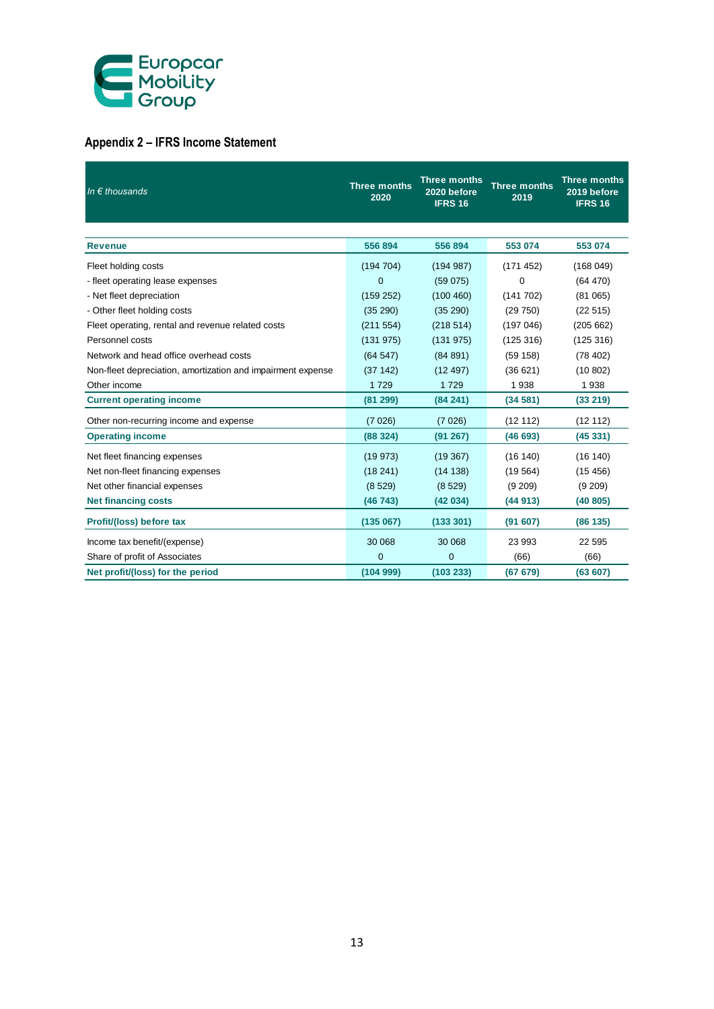

# **Appendix 2 – IFRS Income Statement**

| In $\epsilon$ thousands                                     | <b>Three months</b><br>2020 | <b>Three months</b><br>2020 before<br><b>IFRS 16</b> | <b>Three months</b><br>2019 | <b>Three months</b><br>2019 before<br><b>IFRS 16</b> |
|-------------------------------------------------------------|-----------------------------|------------------------------------------------------|-----------------------------|------------------------------------------------------|
|                                                             |                             |                                                      |                             |                                                      |
| <b>Revenue</b>                                              | 556 894                     | 556 894                                              | 553 074                     | 553 074                                              |
| Fleet holding costs                                         | (194704)                    | (194987)                                             | (171452)                    | (168049)                                             |
| - fleet operating lease expenses                            | $\mathbf{0}$                | (59075)                                              | $\Omega$                    | (64 470)                                             |
| - Net fleet depreciation                                    | (159 252)                   | (100 460)                                            | (141702)                    | (81065)                                              |
| - Other fleet holding costs                                 | (35 290)                    | (35 290)                                             | (29750)                     | (22515)                                              |
| Fleet operating, rental and revenue related costs           | (211 554)                   | (218514)                                             | (197046)                    | (205662)                                             |
| Personnel costs                                             | (131975)                    | (131975)                                             | (125316)                    | (125316)                                             |
| Network and head office overhead costs                      | (64547)                     | (84891)                                              | (59158)                     | (78402)                                              |
| Non-fleet depreciation, amortization and impairment expense | (37142)                     | (12497)                                              | (36621)                     | (10802)                                              |
| Other income                                                | 1729                        | 1729                                                 | 1938                        | 1938                                                 |
| <b>Current operating income</b>                             | (81 299)                    | (84241)                                              | (34581)                     | (33 219)                                             |
| Other non-recurring income and expense                      | (7026)                      | (7026)                                               | (12112)                     | (12 112)                                             |
| <b>Operating income</b>                                     | (88324)                     | (91 267)                                             | (46693)                     | (45331)                                              |
| Net fleet financing expenses                                | (19973)                     | (19367)                                              | (16140)                     | (16140)                                              |
| Net non-fleet financing expenses                            | (18241)                     | (14138)                                              | (19564)                     | (15456)                                              |
| Net other financial expenses                                | (8529)                      | (8529)                                               | (9 209)                     | (9 209)                                              |
| <b>Net financing costs</b>                                  | (46743)                     | (42034)                                              | (44913)                     | (40 805)                                             |
| Profit/(loss) before tax                                    | (135067)                    | (133 301)                                            | (91607)                     | (86135)                                              |
| Income tax benefit/(expense)                                | 30 068                      | 30 068                                               | 23 993                      | 22 5 95                                              |
| Share of profit of Associates                               | $\mathbf{0}$                | $\mathbf 0$                                          | (66)                        | (66)                                                 |
| Net profit/(loss) for the period                            | (104999)                    | (103 233)                                            | (67 679)                    | (63607)                                              |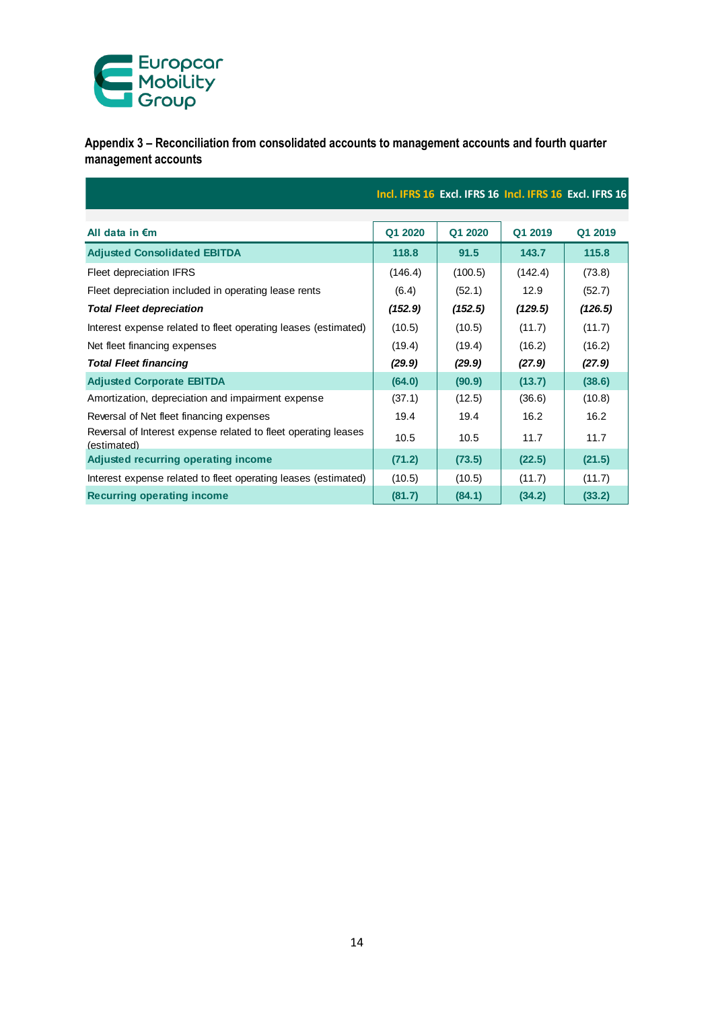

**Appendix 3 – Reconciliation from consolidated accounts to management accounts and fourth quarter management accounts**

|                                                                               |         |         |         | Incl. IFRS 16 Excl. IFRS 16 Incl. IFRS 16 Excl. IFRS 16 |
|-------------------------------------------------------------------------------|---------|---------|---------|---------------------------------------------------------|
| All data in $\epsilon$ m                                                      | Q1 2020 | Q1 2020 | Q1 2019 | Q1 2019                                                 |
|                                                                               |         |         |         |                                                         |
| <b>Adjusted Consolidated EBITDA</b>                                           | 118.8   | 91.5    | 143.7   | 115.8                                                   |
| Fleet depreciation IFRS                                                       | (146.4) | (100.5) | (142.4) | (73.8)                                                  |
| Fleet depreciation included in operating lease rents                          | (6.4)   | (52.1)  | 12.9    | (52.7)                                                  |
| <b>Total Fleet depreciation</b>                                               | (152.9) | (152.5) | (129.5) | (126.5)                                                 |
| Interest expense related to fleet operating leases (estimated)                | (10.5)  | (10.5)  | (11.7)  | (11.7)                                                  |
| Net fleet financing expenses                                                  | (19.4)  | (19.4)  | (16.2)  | (16.2)                                                  |
| <b>Total Fleet financing</b>                                                  | (29.9)  | (29.9)  | (27.9)  | (27.9)                                                  |
| <b>Adjusted Corporate EBITDA</b>                                              | (64.0)  | (90.9)  | (13.7)  | (38.6)                                                  |
| Amortization, depreciation and impairment expense                             | (37.1)  | (12.5)  | (36.6)  | (10.8)                                                  |
| Reversal of Net fleet financing expenses                                      | 19.4    | 19.4    | 16.2    | 16.2                                                    |
| Reversal of Interest expense related to fleet operating leases<br>(estimated) | 10.5    | 10.5    | 11.7    | 11.7                                                    |
| Adjusted recurring operating income                                           | (71.2)  | (73.5)  | (22.5)  | (21.5)                                                  |
| Interest expense related to fleet operating leases (estimated)                | (10.5)  | (10.5)  | (11.7)  | (11.7)                                                  |
| <b>Recurring operating income</b>                                             | (81.7)  | (84.1)  | (34.2)  | (33.2)                                                  |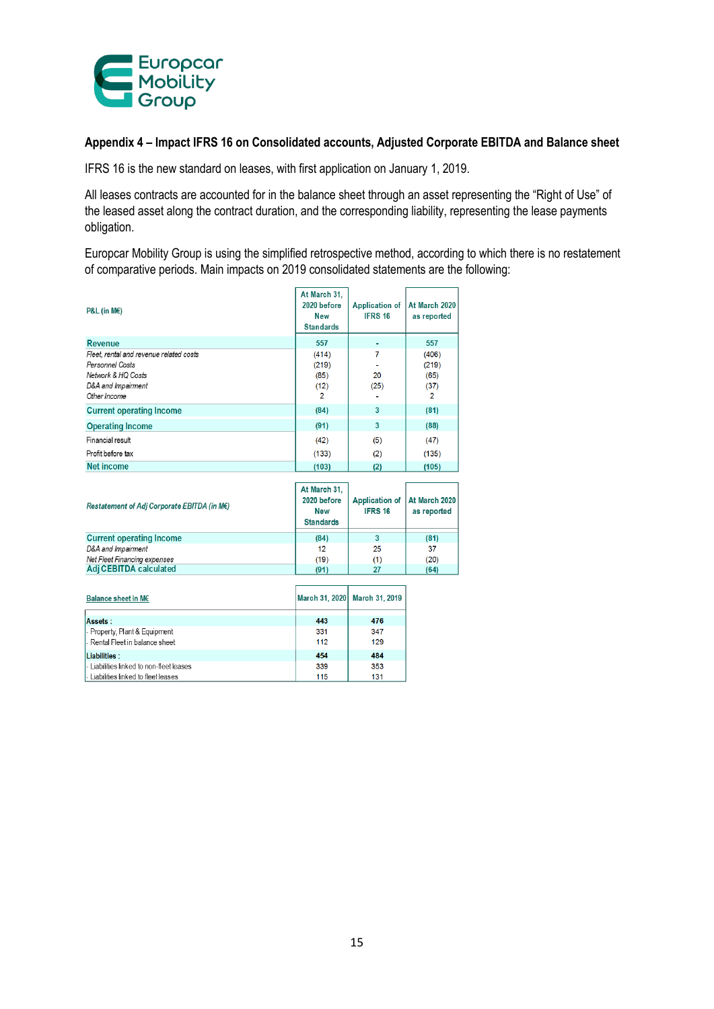

#### **Appendix 4 – Impact IFRS 16 on Consolidated accounts, Adjusted Corporate EBITDA and Balance sheet**

IFRS 16 is the new standard on leases, with first application on January 1, 2019.

All leases contracts are accounted for in the balance sheet through an asset representing the "Right of Use" of the leased asset along the contract duration, and the corresponding liability, representing the lease payments obligation.

Europcar Mobility Group is using the simplified retrospective method, according to which there is no restatement of comparative periods. Main impacts on 2019 consolidated statements are the following:

| $PAL$ (in ME)                                                                                                          | At March 31,<br>2020 hefore<br><b>New</b><br><b>Standards</b> | <b>Application of</b><br><b>IFRS 16</b> | At March 2020<br>as reported                     |
|------------------------------------------------------------------------------------------------------------------------|---------------------------------------------------------------|-----------------------------------------|--------------------------------------------------|
| <b>Revenue</b>                                                                                                         | 557                                                           |                                         | 557                                              |
| Fleet, rental and revenue related costs<br>Personnel Costs<br>Network & HQ Costs<br>D&A and Impairment<br>Other Income | (414)<br>(219)<br>(85)<br>(12)<br>$\overline{2}$              | 7<br>20<br>(25)                         | (406)<br>(219)<br>(65)<br>(37)<br>$\overline{2}$ |
| <b>Current operating Income</b>                                                                                        | (84)                                                          | 3                                       | (81)                                             |
| <b>Operating Income</b>                                                                                                | (91)                                                          | 3                                       | (88)                                             |
| Financial result                                                                                                       | (42)                                                          | (5)                                     | (47)                                             |
| Profit before tax                                                                                                      | (133)                                                         | (2)                                     | (135)                                            |
| <b>Net income</b>                                                                                                      | (103)                                                         | (2)                                     | (105)                                            |
| Restatement of Adj Corporate EBITDA (in M€)                                                                            | At March 31,<br>2020 before<br><b>New</b><br><b>Standards</b> | <b>Application of</b><br><b>IFRS 16</b> | At March 2020<br>as reported                     |
| <b>Current operating Income</b>                                                                                        | (84)                                                          | 3                                       | (81)                                             |
| D&A and Impairment<br>Net Fleet Financing expenses                                                                     | 12<br>(19)                                                    | 25<br>(1)                               | 37<br>(20)                                       |
| Adj CEBITDA calculated                                                                                                 | (91)                                                          | 27                                      | (64)                                             |

| Balance sheet in ME                                              |            | March 31, 2020 March 31, 2019 |
|------------------------------------------------------------------|------------|-------------------------------|
| Assets:                                                          | 443        | 476                           |
| - Property, Plant & Equipment<br>- Rental Fleet in balance sheet | 331<br>112 | 347<br>129                    |
| Liabilities:                                                     | 454        | 484                           |
| - Liabilities linked to non-fleet leases                         | 339        | 353                           |
| - Liabilities linked to fleet leases                             | 115        | 131                           |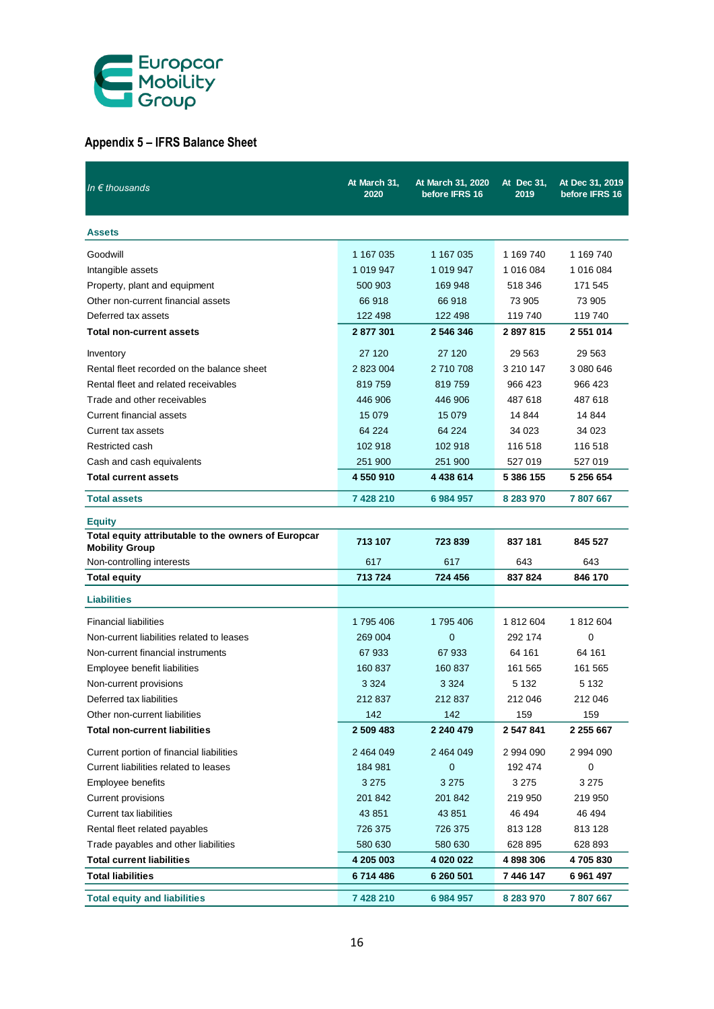

# **Appendix 5 – IFRS Balance Sheet**

| In $\epsilon$ thousands                                                      | At March 31,<br>2020 | At March 31, 2020<br>before IFRS 16 | At Dec 31,<br>2019 | At Dec 31, 2019<br>before IFRS 16 |
|------------------------------------------------------------------------------|----------------------|-------------------------------------|--------------------|-----------------------------------|
| <b>Assets</b>                                                                |                      |                                     |                    |                                   |
| Goodwill                                                                     | 1 167 035            | 1 167 035                           | 1 169 740          | 1 169 740                         |
| Intangible assets                                                            | 1 019 947            | 1 019 947                           | 1 016 084          | 1 016 084                         |
| Property, plant and equipment                                                | 500 903              | 169 948                             | 518 346            | 171 545                           |
| Other non-current financial assets                                           | 66 918               | 66918                               | 73 905             | 73 905                            |
| Deferred tax assets                                                          | 122 498              | 122 498                             | 119 740            | 119 740                           |
| <b>Total non-current assets</b>                                              | 2877301              | 2 546 346                           | 2897815            | 2551014                           |
| Inventory                                                                    | 27 120               | 27 120                              | 29 5 63            | 29 5 63                           |
| Rental fleet recorded on the balance sheet                                   | 2 823 004            | 2 710 708                           | 3 210 147          | 3 080 646                         |
| Rental fleet and related receivables                                         | 819759               | 819759                              | 966 423            | 966 423                           |
| Trade and other receivables                                                  | 446 906              | 446 906                             | 487 618            | 487 618                           |
| <b>Current financial assets</b>                                              | 15 0 79              | 15 0 79                             | 14 844             | 14 844                            |
| Current tax assets                                                           | 64 224               | 64 224                              | 34 023             | 34 023                            |
| Restricted cash                                                              | 102 918              | 102 918                             | 116 518            | 116 518                           |
| Cash and cash equivalents                                                    | 251 900              | 251 900                             | 527 019            | 527 019                           |
| <b>Total current assets</b>                                                  | 4 550 910            | 4 438 614                           | 5 386 155          | 5 256 654                         |
| <b>Total assets</b>                                                          | 7 428 210            | 6 984 957                           | 8 283 970          | 7807667                           |
| <b>Equity</b>                                                                |                      |                                     |                    |                                   |
| Total equity attributable to the owners of Europcar<br><b>Mobility Group</b> | 713 107              | 723839                              | 837 181            | 845 527                           |
| Non-controlling interests                                                    | 617                  | 617                                 | 643                | 643                               |
| <b>Total equity</b>                                                          | 713724               | 724 456                             | 837824             | 846 170                           |
| <b>Liabilities</b>                                                           |                      |                                     |                    |                                   |
| <b>Financial liabilities</b>                                                 | 1795406              | 1795406                             | 1812604            | 1812604                           |
| Non-current liabilities related to leases                                    | 269 004              | $\mathbf 0$                         | 292 174            | 0                                 |
| Non-current financial instruments                                            | 67933                | 67933                               | 64 161             | 64 161                            |
| Employee benefit liabilities                                                 | 160 837              | 160 837                             | 161 565            | 161 565                           |
| Non-current provisions                                                       | 3 3 2 4              | 3 3 2 4                             | 5 1 3 2            | 5 1 3 2                           |
| Deferred tax liabilities                                                     | 212 837              | 212 837                             | 212 046            | 212 046                           |
| Other non-current liabilities                                                | 142                  | 142                                 | 159                | 159                               |
| <b>Total non-current liabilities</b>                                         | 2 509 483            | 2 240 479                           | 2 547 841          | 2 255 667                         |
| Current portion of financial liabilities                                     | 2 464 049            | 2 464 049                           | 2 994 090          | 2 994 090                         |
| Current liabilities related to leases                                        | 184 981              | $\mathbf 0$                         | 192 474            | 0                                 |
| Employee benefits                                                            | 3 2 7 5              | 3 2 7 5                             | 3 275              | 3 2 7 5                           |
| Current provisions                                                           | 201 842              | 201 842                             | 219 950            | 219 950                           |
| <b>Current tax liabilities</b>                                               | 43 851               | 43 851                              | 46 494             | 46 494                            |
| Rental fleet related payables                                                | 726 375              | 726 375                             | 813 128            | 813 128                           |
| Trade payables and other liabilities                                         | 580 630              | 580 630                             | 628 895            | 628 893                           |
| <b>Total current liabilities</b>                                             | 4 205 003            | 4 020 022                           | 4898306            | 4705830                           |
| <b>Total liabilities</b>                                                     | 6714486              | 6 260 501                           | 7 446 147          | 6961497                           |
| <b>Total equity and liabilities</b>                                          | 7 428 210            | 6 984 957                           | 8 283 970          | 7807667                           |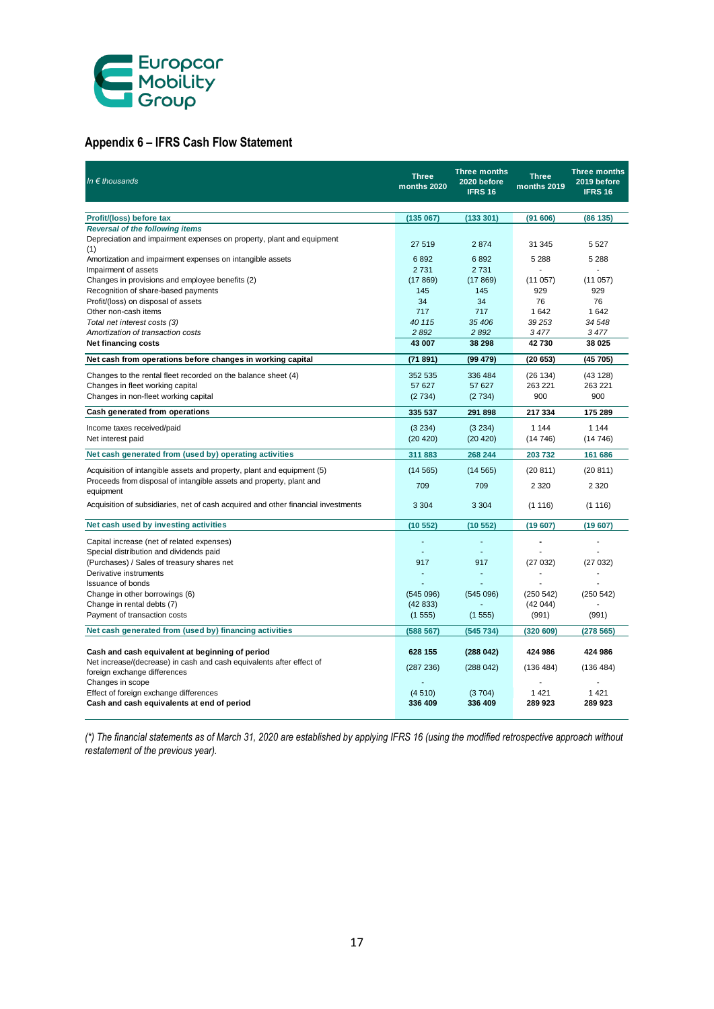

# **Appendix 6 – IFRS Cash Flow Statement**

| In $\epsilon$ thousands                                                                                                 | <b>Three</b><br>months 2020 | <b>Three months</b><br>2020 before<br><b>IFRS 16</b> | <b>Three</b><br>months 2019 | <b>Three months</b><br>2019 before<br><b>IFRS 16</b> |
|-------------------------------------------------------------------------------------------------------------------------|-----------------------------|------------------------------------------------------|-----------------------------|------------------------------------------------------|
|                                                                                                                         |                             |                                                      |                             |                                                      |
| Profit/(loss) before tax                                                                                                | (135067)                    | (133 301)                                            | (91606)                     | (86135)                                              |
| <b>Reversal of the following items</b><br>Depreciation and impairment expenses on property, plant and equipment         | 27 519                      | 2874                                                 | 31 345                      | 5 5 2 7                                              |
| (1)<br>Amortization and impairment expenses on intangible assets                                                        | 6892                        | 6892                                                 | 5 2 8 8                     | 5 2 8 8                                              |
| Impairment of assets                                                                                                    | 2731                        | 2731                                                 |                             | ÷.                                                   |
| Changes in provisions and employee benefits (2)                                                                         | (17869)                     | (17869)                                              | (11057)                     | (11057)                                              |
| Recognition of share-based payments                                                                                     | 145                         | 145                                                  | 929                         | 929                                                  |
| Profit/(loss) on disposal of assets                                                                                     | 34                          | 34                                                   | 76                          | 76                                                   |
| Other non-cash items                                                                                                    | 717                         | 717                                                  | 1642                        | 1642                                                 |
| Total net interest costs (3)                                                                                            | 40 115                      | 35 406                                               | 39 253                      | 34 548                                               |
| Amortization of transaction costs                                                                                       | 2 8 9 2                     | 2 8 9 2                                              | 3477                        | 3477                                                 |
| <b>Net financing costs</b>                                                                                              | 43 007                      | 38 298                                               | 42730                       | 38 025                                               |
| Net cash from operations before changes in working capital                                                              | (71891)                     | (99 479)                                             | (20653)                     | (45705)                                              |
| Changes to the rental fleet recorded on the balance sheet (4)                                                           | 352 535                     | 336 484                                              | (26 134)                    | (43128)                                              |
| Changes in fleet working capital                                                                                        | 57 627                      | 57 627                                               | 263 221                     | 263 221                                              |
| Changes in non-fleet working capital                                                                                    | (2734)                      | (2734)                                               | 900                         | 900                                                  |
| Cash generated from operations                                                                                          | 335 537                     | 291 898                                              | 217 334                     | 175 289                                              |
| Income taxes received/paid                                                                                              | (3 234)                     | (3 234)                                              | 1 1 4 4                     | 1 1 4 4                                              |
| Net interest paid                                                                                                       | (20 420)                    | (20 420)                                             | (14746)                     | (14746)                                              |
| Net cash generated from (used by) operating activities                                                                  | 311 883                     | 268 244                                              | 203732                      | 161 686                                              |
| Acquisition of intangible assets and property, plant and equipment (5)                                                  | (14565)                     | (14565)                                              | (20811)                     | (20811)                                              |
| Proceeds from disposal of intangible assets and property, plant and<br>equipment                                        | 709                         | 709                                                  | 2 3 2 0                     | 2 3 2 0                                              |
| Acquisition of subsidiaries, net of cash acquired and other financial investments                                       | 3 3 0 4                     | 3 3 0 4                                              | (1116)                      | (1116)                                               |
| Net cash used by investing activities                                                                                   | (10552)                     | (10552)                                              | (19607)                     | (19607)                                              |
| Capital increase (net of related expenses)<br>Special distribution and dividends paid                                   |                             | ÷                                                    |                             |                                                      |
| (Purchases) / Sales of treasury shares net                                                                              | 917                         | 917                                                  | (27032)                     | (27032)                                              |
| Derivative instruments                                                                                                  | ÷                           | ä,                                                   |                             |                                                      |
| Issuance of bonds                                                                                                       |                             |                                                      |                             |                                                      |
| Change in other borrowings (6)                                                                                          | (545096)                    | (545096)                                             | (250 542)                   | (250 542)                                            |
| Change in rental debts (7)                                                                                              | (42833)                     |                                                      | (42044)                     |                                                      |
| Payment of transaction costs                                                                                            | (1555)                      | (1555)                                               | (991)                       | (991)                                                |
| Net cash generated from (used by) financing activities                                                                  | (588 567)                   | (545734)                                             | (320 609)                   | (278565)                                             |
|                                                                                                                         |                             |                                                      |                             |                                                      |
| Cash and cash equivalent at beginning of period<br>Net increase/(decrease) in cash and cash equivalents after effect of | 628 155                     | (288042)                                             | 424 986                     | 424 986                                              |
| foreign exchange differences                                                                                            | (287 236)                   | (288042)                                             | (136 484)                   | (136 484)                                            |
| Changes in scope                                                                                                        |                             |                                                      |                             |                                                      |
| Effect of foreign exchange differences                                                                                  | (4510)                      | (3704)                                               | 1421                        | 1 4 2 1                                              |
| Cash and cash equivalents at end of period                                                                              | 336 409                     | 336 409                                              | 289923                      | 289 923                                              |

*(\*) The financial statements as of March 31, 2020 are established by applying IFRS 16 (using the modified retrospective approach without restatement of the previous year).*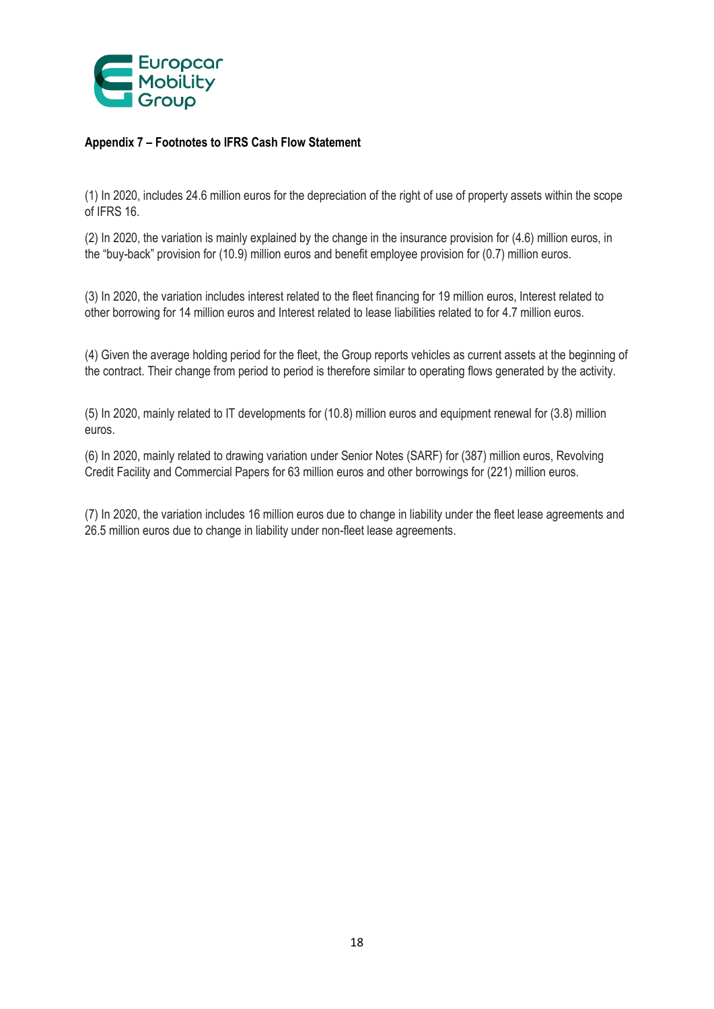

# **Appendix 7 – Footnotes to IFRS Cash Flow Statement**

(1) In 2020, includes 24.6 million euros for the depreciation of the right of use of property assets within the scope of IFRS 16.

(2) In 2020, the variation is mainly explained by the change in the insurance provision for (4.6) million euros, in the "buy-back" provision for (10.9) million euros and benefit employee provision for (0.7) million euros.

(3) In 2020, the variation includes interest related to the fleet financing for 19 million euros, Interest related to other borrowing for 14 million euros and Interest related to lease liabilities related to for 4.7 million euros.

(4) Given the average holding period for the fleet, the Group reports vehicles as current assets at the beginning of the contract. Their change from period to period is therefore similar to operating flows generated by the activity.

(5) In 2020, mainly related to IT developments for (10.8) million euros and equipment renewal for (3.8) million euros.

(6) In 2020, mainly related to drawing variation under Senior Notes (SARF) for (387) million euros, Revolving Credit Facility and Commercial Papers for 63 million euros and other borrowings for (221) million euros.

(7) In 2020, the variation includes 16 million euros due to change in liability under the fleet lease agreements and 26.5 million euros due to change in liability under non-fleet lease agreements.